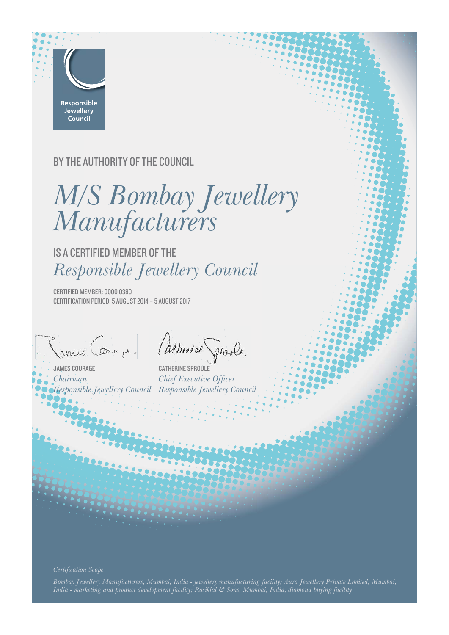

## BY THE AUTHORITY OF THE COUNCIL

*M/S Bombay Jewellery Manufacturers*

IS A CERTIFIED MEMBER OF THE *Responsible Jewellery Council*

CERTIFIED MEMBER: 0000 0380 CERTIFICATION PERIOD: 5 AUGUST 2014 – 5 AUGUST 2017

*Chairman*

James Cours je Athevias Grasle.

*Responsible Jewellery Council Responsible Jewellery Council*CATHERINE SPROULE *Chief Executive Officer* 

*Bombay Jewellery Manufacturers, Mumbai, India - jewellery manufacturing facility; Aura Jewellery Private Limited, Mumbai, India - marketing and product development facility; Rasiklal & Sons, Mumbai, India, diamond buying facility*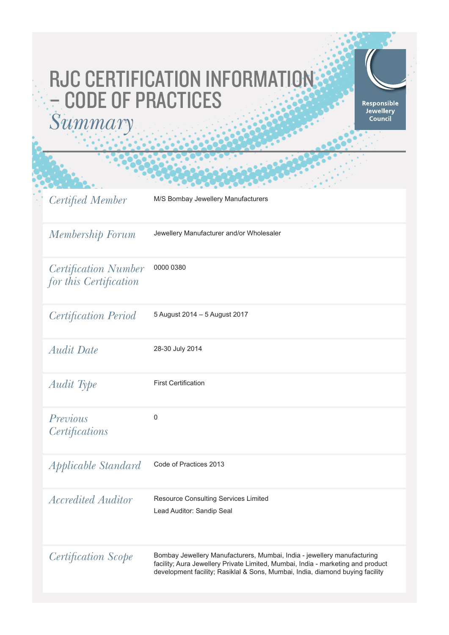# RJC CERTIFICATION INFORMATION – CODE OF PRACTICES *Summary*



| <b>Certified Member</b>                               | M/S Bombay Jewellery Manufacturers                                                                                                                                                                                                          |
|-------------------------------------------------------|---------------------------------------------------------------------------------------------------------------------------------------------------------------------------------------------------------------------------------------------|
| Membership Forum                                      | Jewellery Manufacturer and/or Wholesaler                                                                                                                                                                                                    |
| <i>Certification Number</i><br>for this Certification | 0000 0380                                                                                                                                                                                                                                   |
| <b>Certification Period</b>                           | 5 August 2014 - 5 August 2017                                                                                                                                                                                                               |
| <i>Audit Date</i>                                     | 28-30 July 2014                                                                                                                                                                                                                             |
| Audit Type                                            | <b>First Certification</b>                                                                                                                                                                                                                  |
| Previous<br>Certifications                            | $\boldsymbol{0}$                                                                                                                                                                                                                            |
| <i>Applicable Standard</i>                            | Code of Practices 2013                                                                                                                                                                                                                      |
| <i>Accredited Auditor</i>                             | Resource Consulting Services Limited<br>Lead Auditor: Sandip Seal                                                                                                                                                                           |
| Certification Scope                                   | Bombay Jewellery Manufacturers, Mumbai, India - jewellery manufacturing<br>facility; Aura Jewellery Private Limited, Mumbai, India - marketing and product<br>development facility; Rasiklal & Sons, Mumbai, India, diamond buying facility |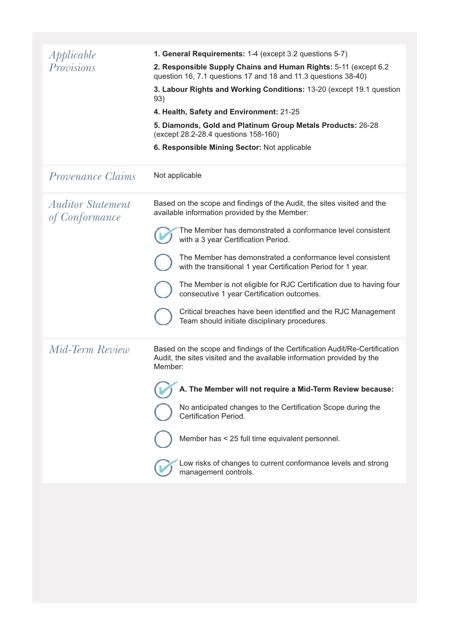| Applicable                                 | 1. General Requirements: 1-4 (except 3.2 questions 5-7)                                                                                                          |
|--------------------------------------------|------------------------------------------------------------------------------------------------------------------------------------------------------------------|
| Provisions                                 | 2. Responsible Supply Chains and Human Rights: 5-11 (except 6.2)<br>question 16, 7.1 questions 17 and 18 and 11.3 questions 38-40)                               |
|                                            | 3. Labour Rights and Working Conditions: 13-20 (except 19.1 question<br>93)                                                                                      |
|                                            | 4. Health, Safety and Environment: 21-25                                                                                                                         |
|                                            | 5. Diamonds, Gold and Platinum Group Metals Products: 26-28<br>(except 28.2-28.4 questions 158-160)                                                              |
|                                            | 6. Responsible Mining Sector: Not applicable                                                                                                                     |
| <i>Provenance Claims</i>                   | Not applicable                                                                                                                                                   |
| <b>Auditor Statement</b><br>of Conformance | Based on the scope and findings of the Audit, the sites visited and the<br>available information provided by the Member:                                         |
|                                            | The Member has demonstrated a conformance level consistent<br>with a 3 year Certification Period.                                                                |
|                                            | The Member has demonstrated a conformance level consistent<br>with the transitional 1 year Certification Period for 1 year.                                      |
|                                            | The Member is not eligible for RJC Certification due to having four<br>consecutive 1 year Certification outcomes.                                                |
|                                            | Critical breaches have been identified and the RJC Management<br>Team should initiate disciplinary procedures.                                                   |
| Mid-Term Review                            | Based on the scope and findings of the Certification Audit/Re-Certification<br>Audit, the sites visited and the available information provided by the<br>Member: |
|                                            | A. The Member will not require a Mid-Term Review because:                                                                                                        |
|                                            | No anticipated changes to the Certification Scope during the<br>Certification Period.                                                                            |
|                                            | Member has < 25 full time equivalent personnel.                                                                                                                  |
|                                            | Low risks of changes to current conformance levels and strong<br>management controls.                                                                            |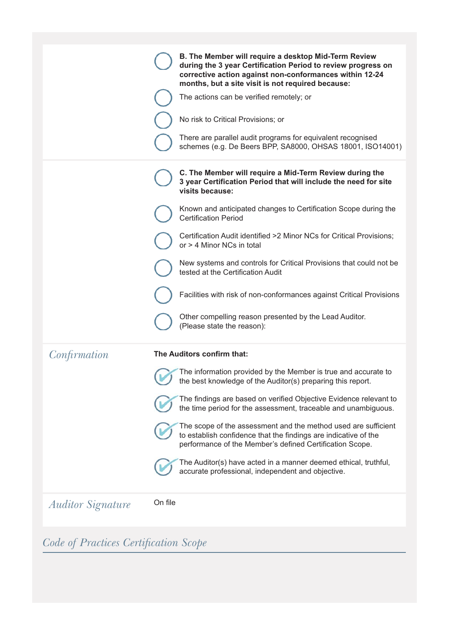|                          | B. The Member will require a desktop Mid-Term Review<br>during the 3 year Certification Period to review progress on<br>corrective action against non-conformances within 12-24<br>months, but a site visit is not required because:<br>The actions can be verified remotely; or<br>No risk to Critical Provisions; or<br>There are parallel audit programs for equivalent recognised<br>schemes (e.g. De Beers BPP, SA8000, OHSAS 18001, ISO14001)                                                                                                                                                                             |
|--------------------------|---------------------------------------------------------------------------------------------------------------------------------------------------------------------------------------------------------------------------------------------------------------------------------------------------------------------------------------------------------------------------------------------------------------------------------------------------------------------------------------------------------------------------------------------------------------------------------------------------------------------------------|
|                          | C. The Member will require a Mid-Term Review during the<br>3 year Certification Period that will include the need for site<br>visits because:<br>Known and anticipated changes to Certification Scope during the<br><b>Certification Period</b><br>Certification Audit identified >2 Minor NCs for Critical Provisions;<br>or > 4 Minor NCs in total<br>New systems and controls for Critical Provisions that could not be<br>tested at the Certification Audit<br>Facilities with risk of non-conformances against Critical Provisions<br>Other compelling reason presented by the Lead Auditor.<br>(Please state the reason): |
| Confirmation             | The Auditors confirm that:<br>The information provided by the Member is true and accurate to<br>the best knowledge of the Auditor(s) preparing this report.<br>The findings are based on verified Objective Evidence relevant to<br>the time period for the assessment, traceable and unambiguous.<br>The scope of the assessment and the method used are sufficient<br>to establish confidence that the findings are indicative of the<br>performance of the Member's defined Certification Scope.<br>The Auditor(s) have acted in a manner deemed ethical, truthful,<br>accurate professional, independent and objective.     |
| <b>Auditor Signature</b> | On file                                                                                                                                                                                                                                                                                                                                                                                                                                                                                                                                                                                                                         |

*Code of Practices Certifi cation Scope*